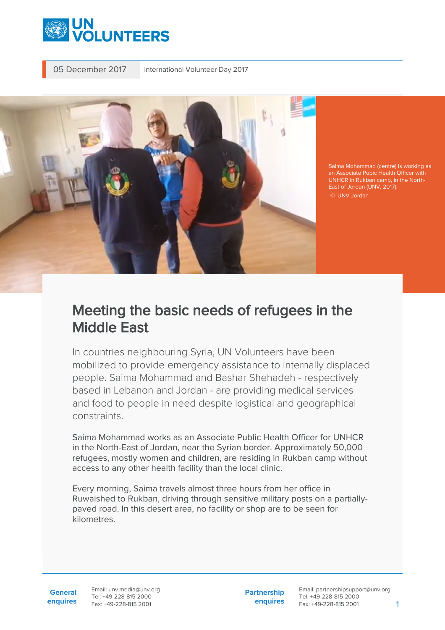

05 December 2017 International Volunteer Day 2017



Saima Mohammad (centre) is working as East of Jordan (UNV, 2017). © UNV Jordan

## Meeting the basic needs of refugees in the Middle East

In countries neighbouring Syria, UN Volunteers have been mobilized to provide emergency assistance to internally displaced people. Saima Mohammad and Bashar Shehadeh - respectively based in Lebanon and Jordan - are providing medical services and food to people in need despite logistical and geographical constraints.

Saima Mohammad works as an Associate Public Health Officer for UNHCR in the North-East of Jordan, near the Syrian border. Approximately 50,000 refugees, mostly women and children, are residing in Rukban camp without access to any other health facility than the local clinic.

Every morning, Saima travels almost three hours from her office in Ruwaished to Rukban, driving through sensitive military posts on a partiallypaved road. In this desert area, no facility or shop are to be seen for kilometres.

**General enquires** Email: unv.media@unv.org Tel: +49-228-815 2000 Fax: +49-228-815 2001

**Partnership enquires**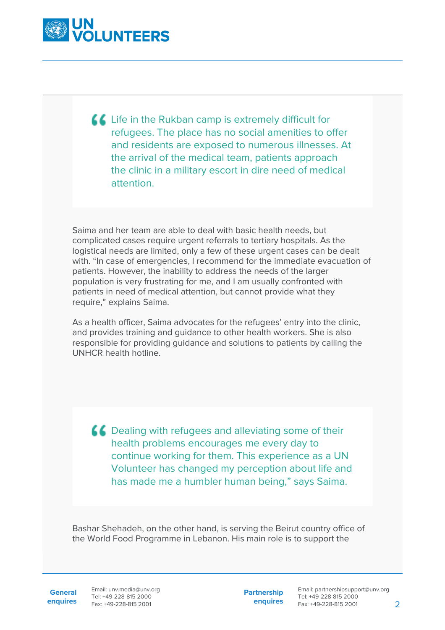

Life in the Rukban camp is extremely difficult for refugees. The place has no social amenities to offer and residents are exposed to numerous illnesses. At the arrival of the medical team, patients approach the clinic in a military escort in dire need of medical attention.

Saima and her team are able to deal with basic health needs, but complicated cases require urgent referrals to tertiary hospitals. As the logistical needs are limited, only a few of these urgent cases can be dealt with. "In case of emergencies, I recommend for the immediate evacuation of patients. However, the inability to address the needs of the larger population is very frustrating for me, and I am usually confronted with patients in need of medical attention, but cannot provide what they require," explains Saima.

As a health officer, Saima advocates for the refugees' entry into the clinic, and provides training and guidance to other health workers. She is also responsible for providing guidance and solutions to patients by calling the UNHCR health hotline.

 $\triangle$  Dealing with refugees and alleviating some of their health problems encourages me every day to continue working for them. This experience as a UN Volunteer has changed my perception about life and has made me a humbler human being," says Saima.

Bashar Shehadeh, on the other hand, is serving the Beirut country office of the World Food Programme in Lebanon. His main role is to support the

General Email: unv.media@unv.org **enquires** Tel: +49-228-815 2000 Fax: +49-228-815 2001

**Partnership enquires**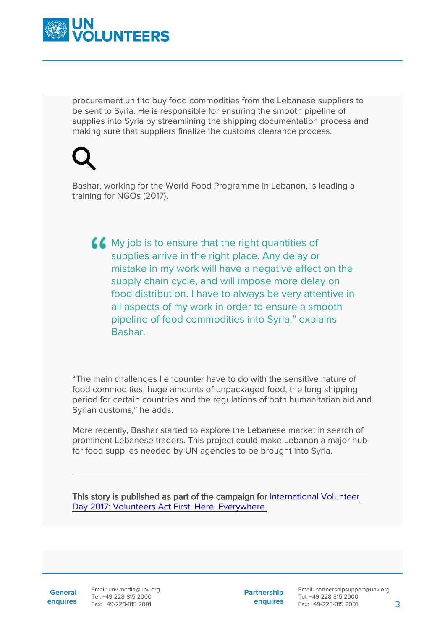

procurement unit to buy food commodities from the Lebanese suppliers to be sent to Syria. He is responsible for ensuring the smooth pipeline of supplies into Syria by streamlining the shipping documentation process and making sure that suppliers finalize the customs clearance process.

Bashar, working for the World Food Programme in Lebanon, is leading a training for NGOs (2017).

**44** My job is to ensure that the right quantities of supplies arrive in the right place. Any delay or mistake in my work will have a negative effect on the supply chain cycle, and will impose more delay on food distribution. I have to always be very attentive in all aspects of my work in order to ensure a smooth pipeline of food commodities into Syria," explains **Bashar** 

"The main challenges I encounter have to do with the sensitive nature of food commodities, huge amounts of unpackaged food, the long shipping period for certain countries and the regulations of both humanitarian aid and Syrian customs," he adds.

More recently, Bashar started to explore the Lebanese market in search of prominent Lebanese traders. This project could make Lebanon a major hub for food supplies needed by UN agencies to be brought into Syria.

This story is published as part of the campaign for [International Volunteer](https://www.unv.org/internationalvolunteerday2017) [Day 2017: Volunteers Act First. Here. Everywhere.](https://www.unv.org/internationalvolunteerday2017)

**General enquires** Email: unv.media@unv.org Tel: +49-228-815 2000 Fax: +49-228-815 2001

**Partnership enquires**